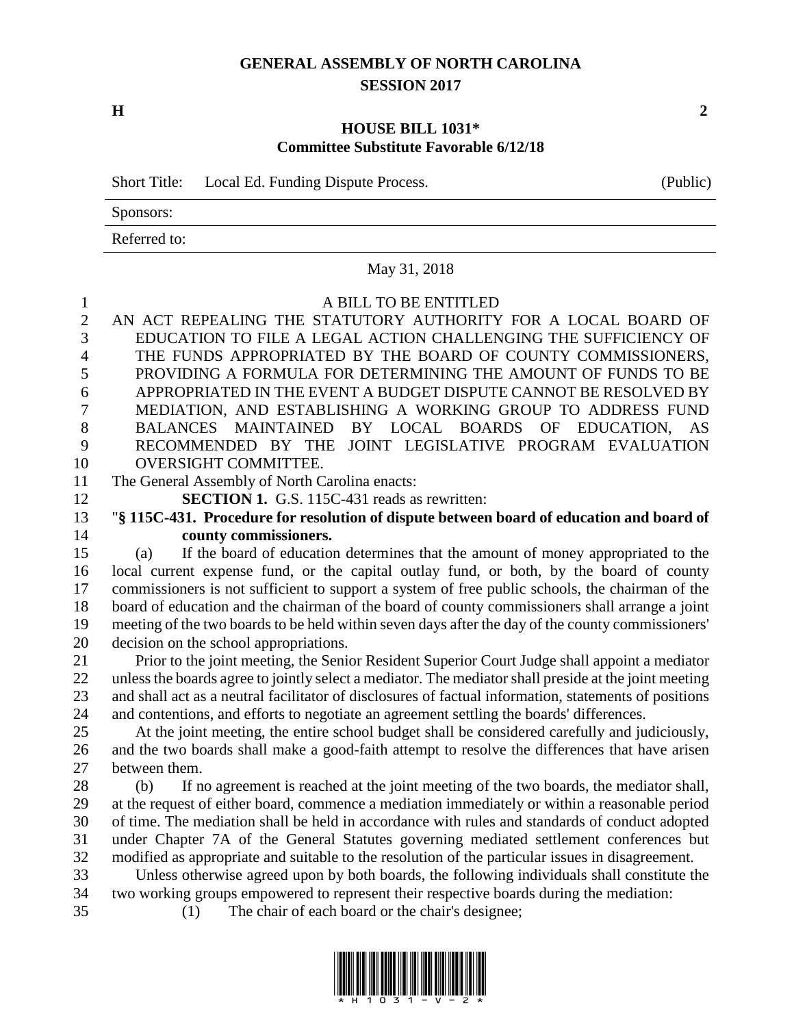## **GENERAL ASSEMBLY OF NORTH CAROLINA SESSION 2017**

**H 2**

## **HOUSE BILL 1031\* Committee Substitute Favorable 6/12/18**

Short Title: Local Ed. Funding Dispute Process. (Public)

Sponsors:

Referred to:

|                | May 31, 2018                                                                                                                                                                                    |
|----------------|-------------------------------------------------------------------------------------------------------------------------------------------------------------------------------------------------|
| $\mathbf{1}$   | A BILL TO BE ENTITLED                                                                                                                                                                           |
| $\overline{2}$ | AN ACT REPEALING THE STATUTORY AUTHORITY FOR A LOCAL BOARD OF                                                                                                                                   |
| 3              | EDUCATION TO FILE A LEGAL ACTION CHALLENGING THE SUFFICIENCY OF                                                                                                                                 |
| $\overline{4}$ | THE FUNDS APPROPRIATED BY THE BOARD OF COUNTY COMMISSIONERS,                                                                                                                                    |
| 5              | PROVIDING A FORMULA FOR DETERMINING THE AMOUNT OF FUNDS TO BE                                                                                                                                   |
| 6              | APPROPRIATED IN THE EVENT A BUDGET DISPUTE CANNOT BE RESOLVED BY                                                                                                                                |
| 7              | MEDIATION, AND ESTABLISHING A WORKING GROUP TO ADDRESS FUND                                                                                                                                     |
| 8              | BALANCES MAINTAINED BY LOCAL BOARDS OF EDUCATION,<br>AS                                                                                                                                         |
| 9              | RECOMMENDED BY THE JOINT LEGISLATIVE PROGRAM EVALUATION                                                                                                                                         |
| 10             | OVERSIGHT COMMITTEE.                                                                                                                                                                            |
| 11             | The General Assembly of North Carolina enacts:                                                                                                                                                  |
| 12             | SECTION 1. G.S. 115C-431 reads as rewritten:                                                                                                                                                    |
| 13             | "§ 115C-431. Procedure for resolution of dispute between board of education and board of                                                                                                        |
| 14             | county commissioners.                                                                                                                                                                           |
| 15             | If the board of education determines that the amount of money appropriated to the<br>(a)                                                                                                        |
| 16             | local current expense fund, or the capital outlay fund, or both, by the board of county                                                                                                         |
| 17             | commissioners is not sufficient to support a system of free public schools, the chairman of the                                                                                                 |
| 18             | board of education and the chairman of the board of county commissioners shall arrange a joint                                                                                                  |
| 19             | meeting of the two boards to be held within seven days after the day of the county commissioners'                                                                                               |
| 20             | decision on the school appropriations.                                                                                                                                                          |
| 21             | Prior to the joint meeting, the Senior Resident Superior Court Judge shall appoint a mediator                                                                                                   |
| 22             | unless the boards agree to jointly select a mediator. The mediator shall preside at the joint meeting                                                                                           |
| 23             | and shall act as a neutral facilitator of disclosures of factual information, statements of positions                                                                                           |
| 24<br>25       | and contentions, and efforts to negotiate an agreement settling the boards' differences.                                                                                                        |
| 26             | At the joint meeting, the entire school budget shall be considered carefully and judiciously,<br>and the two boards shall make a good-faith attempt to resolve the differences that have arisen |
| 27             | between them.                                                                                                                                                                                   |
| 28             | If no agreement is reached at the joint meeting of the two boards, the mediator shall,<br>(b)                                                                                                   |
| 29             | at the request of either board, commence a mediation immediately or within a reasonable period                                                                                                  |
| 30             | of time. The mediation shall be held in accordance with rules and standards of conduct adopted                                                                                                  |
| 31             | under Chapter 7A of the General Statutes governing mediated settlement conferences but                                                                                                          |
| 32             | modified as appropriate and suitable to the resolution of the particular issues in disagreement.                                                                                                |
| 33             | Unless otherwise agreed upon by both boards, the following individuals shall constitute the                                                                                                     |
| 34             | two working groups empowered to represent their respective boards during the mediation:                                                                                                         |
| 35             | The chair of each board or the chair's designee;<br>(1)                                                                                                                                         |
|                |                                                                                                                                                                                                 |

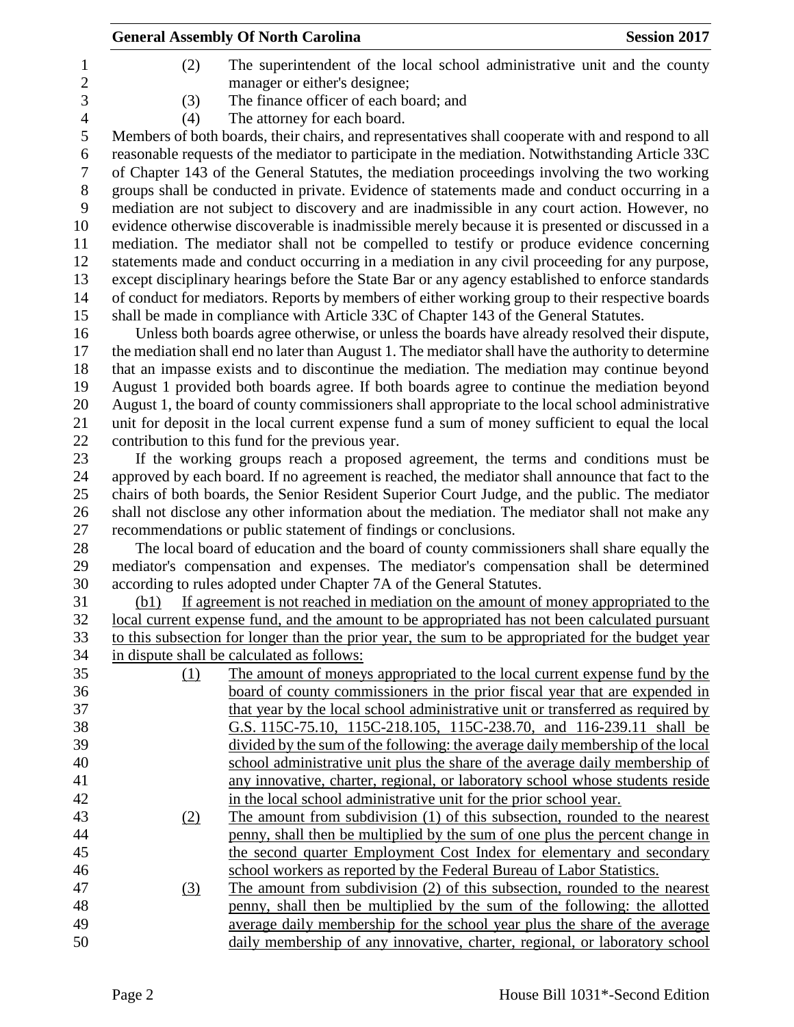|                                                                                                   |      | <b>General Assembly Of North Carolina</b>                                                                                                                 | <b>Session 2017</b> |  |
|---------------------------------------------------------------------------------------------------|------|-----------------------------------------------------------------------------------------------------------------------------------------------------------|---------------------|--|
|                                                                                                   | (2)  | The superintendent of the local school administrative unit and the county                                                                                 |                     |  |
|                                                                                                   |      | manager or either's designee;                                                                                                                             |                     |  |
|                                                                                                   | (3)  | The finance officer of each board; and                                                                                                                    |                     |  |
|                                                                                                   | (4)  | The attorney for each board.                                                                                                                              |                     |  |
|                                                                                                   |      | Members of both boards, their chairs, and representatives shall cooperate with and respond to all                                                         |                     |  |
|                                                                                                   |      | reasonable requests of the mediator to participate in the mediation. Notwithstanding Article 33C                                                          |                     |  |
|                                                                                                   |      | of Chapter 143 of the General Statutes, the mediation proceedings involving the two working                                                               |                     |  |
|                                                                                                   |      | groups shall be conducted in private. Evidence of statements made and conduct occurring in a                                                              |                     |  |
| mediation are not subject to discovery and are inadmissible in any court action. However, no      |      |                                                                                                                                                           |                     |  |
| evidence otherwise discoverable is inadmissible merely because it is presented or discussed in a  |      |                                                                                                                                                           |                     |  |
| mediation. The mediator shall not be compelled to testify or produce evidence concerning          |      |                                                                                                                                                           |                     |  |
| statements made and conduct occurring in a mediation in any civil proceeding for any purpose,     |      |                                                                                                                                                           |                     |  |
| except disciplinary hearings before the State Bar or any agency established to enforce standards  |      |                                                                                                                                                           |                     |  |
|                                                                                                   |      | of conduct for mediators. Reports by members of either working group to their respective boards                                                           |                     |  |
|                                                                                                   |      | shall be made in compliance with Article 33C of Chapter 143 of the General Statutes.                                                                      |                     |  |
|                                                                                                   |      | Unless both boards agree otherwise, or unless the boards have already resolved their dispute,                                                             |                     |  |
|                                                                                                   |      | the mediation shall end no later than August 1. The mediator shall have the authority to determine                                                        |                     |  |
|                                                                                                   |      | that an impasse exists and to discontinue the mediation. The mediation may continue beyond                                                                |                     |  |
|                                                                                                   |      | August 1 provided both boards agree. If both boards agree to continue the mediation beyond                                                                |                     |  |
|                                                                                                   |      | August 1, the board of county commissioners shall appropriate to the local school administrative                                                          |                     |  |
|                                                                                                   |      | unit for deposit in the local current expense fund a sum of money sufficient to equal the local<br>contribution to this fund for the previous year.       |                     |  |
|                                                                                                   |      | If the working groups reach a proposed agreement, the terms and conditions must be                                                                        |                     |  |
|                                                                                                   |      | approved by each board. If no agreement is reached, the mediator shall announce that fact to the                                                          |                     |  |
|                                                                                                   |      | chairs of both boards, the Senior Resident Superior Court Judge, and the public. The mediator                                                             |                     |  |
|                                                                                                   |      | shall not disclose any other information about the mediation. The mediator shall not make any                                                             |                     |  |
|                                                                                                   |      | recommendations or public statement of findings or conclusions.                                                                                           |                     |  |
|                                                                                                   |      | The local board of education and the board of county commissioners shall share equally the                                                                |                     |  |
|                                                                                                   |      | mediator's compensation and expenses. The mediator's compensation shall be determined                                                                     |                     |  |
|                                                                                                   |      | according to rules adopted under Chapter 7A of the General Statutes.                                                                                      |                     |  |
|                                                                                                   | (b1) | If agreement is not reached in mediation on the amount of money appropriated to the                                                                       |                     |  |
|                                                                                                   |      | <u>local current expense fund, and the amount to be appropriated has not been calculated pursuant</u>                                                     |                     |  |
| to this subsection for longer than the prior year, the sum to be appropriated for the budget year |      |                                                                                                                                                           |                     |  |
|                                                                                                   |      | in dispute shall be calculated as follows:                                                                                                                |                     |  |
|                                                                                                   | (1)  | The amount of moneys appropriated to the local current expense fund by the                                                                                |                     |  |
|                                                                                                   |      | board of county commissioners in the prior fiscal year that are expended in                                                                               |                     |  |
|                                                                                                   |      | that year by the local school administrative unit or transferred as required by                                                                           |                     |  |
|                                                                                                   |      | G.S. 115C-75.10, 115C-218.105, 115C-238.70, and 116-239.11 shall be                                                                                       |                     |  |
|                                                                                                   |      | divided by the sum of the following: the average daily membership of the local                                                                            |                     |  |
|                                                                                                   |      | school administrative unit plus the share of the average daily membership of                                                                              |                     |  |
|                                                                                                   |      | any innovative, charter, regional, or laboratory school whose students reside                                                                             |                     |  |
|                                                                                                   |      | in the local school administrative unit for the prior school year.                                                                                        |                     |  |
|                                                                                                   | (2)  | The amount from subdivision (1) of this subsection, rounded to the nearest                                                                                |                     |  |
|                                                                                                   |      | penny, shall then be multiplied by the sum of one plus the percent change in                                                                              |                     |  |
|                                                                                                   |      | the second quarter Employment Cost Index for elementary and secondary                                                                                     |                     |  |
|                                                                                                   |      | school workers as reported by the Federal Bureau of Labor Statistics.                                                                                     |                     |  |
|                                                                                                   | (3)  | The amount from subdivision (2) of this subsection, rounded to the nearest                                                                                |                     |  |
|                                                                                                   |      | penny, shall then be multiplied by the sum of the following: the allotted                                                                                 |                     |  |
|                                                                                                   |      | average daily membership for the school year plus the share of the average<br>daily membership of any innovative, charter, regional, or laboratory school |                     |  |
|                                                                                                   |      |                                                                                                                                                           |                     |  |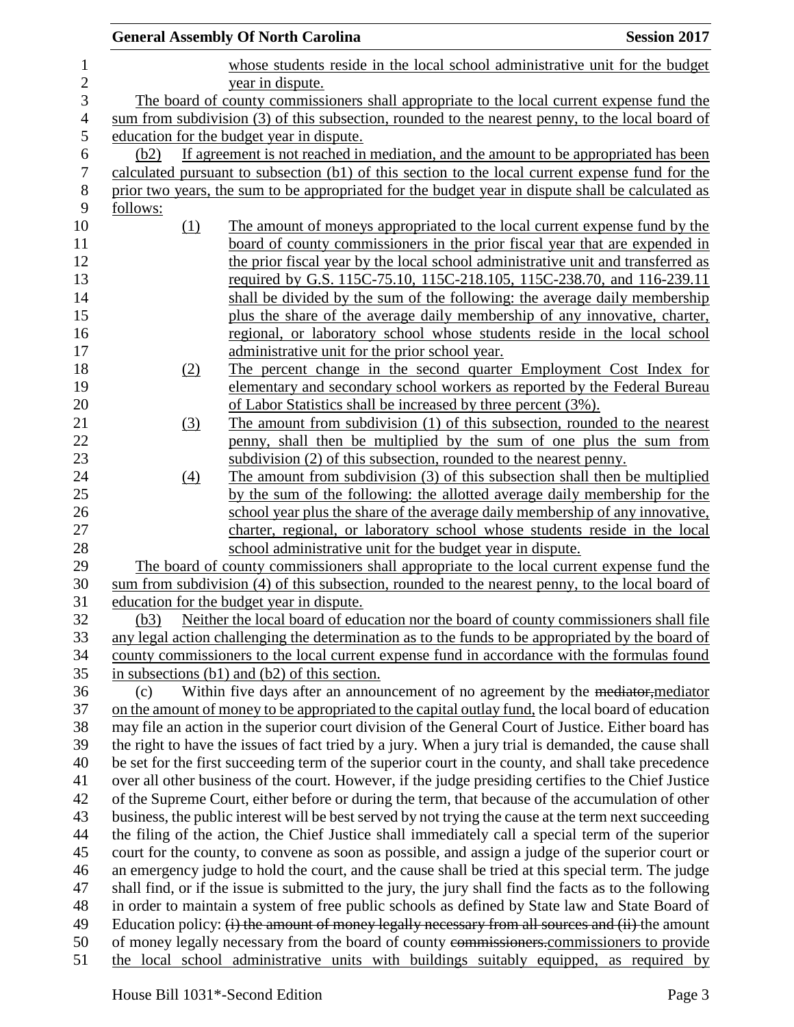|          | <b>General Assembly Of North Carolina</b>                                                               | <b>Session 2017</b> |
|----------|---------------------------------------------------------------------------------------------------------|---------------------|
|          | whose students reside in the local school administrative unit for the budget                            |                     |
|          | year in dispute.                                                                                        |                     |
|          | The board of county commissioners shall appropriate to the local current expense fund the               |                     |
|          | sum from subdivision (3) of this subsection, rounded to the nearest penny, to the local board of        |                     |
|          | education for the budget year in dispute.                                                               |                     |
| (b2)     | If agreement is not reached in mediation, and the amount to be appropriated has been                    |                     |
|          | calculated pursuant to subsection (b1) of this section to the local current expense fund for the        |                     |
|          | prior two years, the sum to be appropriated for the budget year in dispute shall be calculated as       |                     |
| follows: |                                                                                                         |                     |
| (1)      | The amount of moneys appropriated to the local current expense fund by the                              |                     |
|          | board of county commissioners in the prior fiscal year that are expended in                             |                     |
|          | the prior fiscal year by the local school administrative unit and transferred as                        |                     |
|          | required by G.S. 115C-75.10, 115C-218.105, 115C-238.70, and 116-239.11                                  |                     |
|          | shall be divided by the sum of the following: the average daily membership                              |                     |
|          | plus the share of the average daily membership of any innovative, charter,                              |                     |
|          | regional, or laboratory school whose students reside in the local school                                |                     |
|          | administrative unit for the prior school year.                                                          |                     |
| (2)      | The percent change in the second quarter Employment Cost Index for                                      |                     |
|          | elementary and secondary school workers as reported by the Federal Bureau                               |                     |
|          | of Labor Statistics shall be increased by three percent (3%).                                           |                     |
| (3)      | The amount from subdivision (1) of this subsection, rounded to the nearest                              |                     |
|          | penny, shall then be multiplied by the sum of one plus the sum from                                     |                     |
|          | subdivision (2) of this subsection, rounded to the nearest penny.                                       |                     |
| (4)      | The amount from subdivision (3) of this subsection shall then be multiplied                             |                     |
|          | by the sum of the following: the allotted average daily membership for the                              |                     |
|          | school year plus the share of the average daily membership of any innovative,                           |                     |
|          | charter, regional, or laboratory school whose students reside in the local                              |                     |
|          | school administrative unit for the budget year in dispute.                                              |                     |
|          | The board of county commissioners shall appropriate to the local current expense fund the               |                     |
|          | sum from subdivision (4) of this subsection, rounded to the nearest penny, to the local board of        |                     |
|          | education for the budget year in dispute.                                                               |                     |
| (b3)     | Neither the local board of education nor the board of county commissioners shall file                   |                     |
|          | any legal action challenging the determination as to the funds to be appropriated by the board of       |                     |
|          | county commissioners to the local current expense fund in accordance with the formulas found            |                     |
|          | in subsections $(b1)$ and $(b2)$ of this section.                                                       |                     |
| (c)      | Within five days after an announcement of no agreement by the mediator, mediator                        |                     |
|          | on the amount of money to be appropriated to the capital outlay fund, the local board of education      |                     |
|          | may file an action in the superior court division of the General Court of Justice. Either board has     |                     |
|          | the right to have the issues of fact tried by a jury. When a jury trial is demanded, the cause shall    |                     |
|          | be set for the first succeeding term of the superior court in the county, and shall take precedence     |                     |
|          | over all other business of the court. However, if the judge presiding certifies to the Chief Justice    |                     |
|          | of the Supreme Court, either before or during the term, that because of the accumulation of other       |                     |
|          | business, the public interest will be best served by not trying the cause at the term next succeeding   |                     |
|          | the filing of the action, the Chief Justice shall immediately call a special term of the superior       |                     |
|          | court for the county, to convene as soon as possible, and assign a judge of the superior court or       |                     |
|          | an emergency judge to hold the court, and the cause shall be tried at this special term. The judge      |                     |
|          | shall find, or if the issue is submitted to the jury, the jury shall find the facts as to the following |                     |
|          | in order to maintain a system of free public schools as defined by State law and State Board of         |                     |
|          | Education policy: (i) the amount of money legally necessary from all sources and (ii) the amount        |                     |
|          | of money legally necessary from the board of county commissioners.commissioners to provide              |                     |
|          | the local school administrative units with buildings suitably equipped, as required by                  |                     |
|          |                                                                                                         |                     |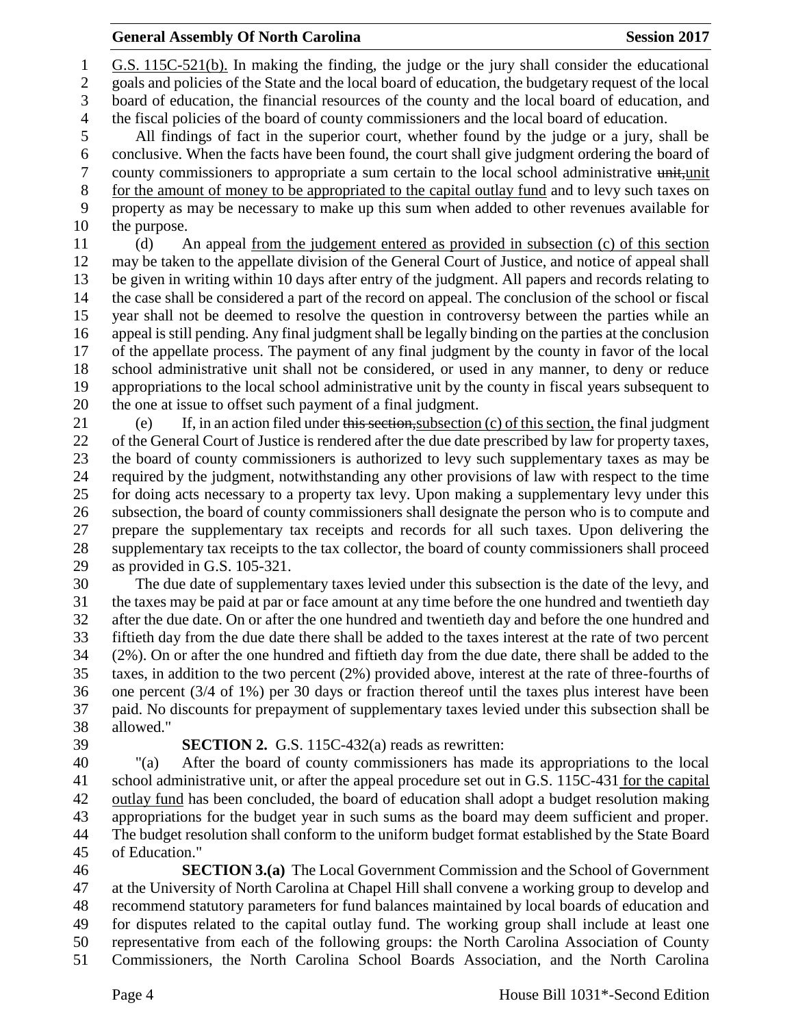## **General Assembly Of North Carolina Session 2017**

 G.S. 115C-521(b). In making the finding, the judge or the jury shall consider the educational goals and policies of the State and the local board of education, the budgetary request of the local board of education, the financial resources of the county and the local board of education, and the fiscal policies of the board of county commissioners and the local board of education. All findings of fact in the superior court, whether found by the judge or a jury, shall be conclusive. When the facts have been found, the court shall give judgment ordering the board of 7 county commissioners to appropriate a sum certain to the local school administrative unit, unit for the amount of money to be appropriated to the capital outlay fund and to levy such taxes on property as may be necessary to make up this sum when added to other revenues available for the purpose. (d) An appeal from the judgement entered as provided in subsection (c) of this section may be taken to the appellate division of the General Court of Justice, and notice of appeal shall be given in writing within 10 days after entry of the judgment. All papers and records relating to the case shall be considered a part of the record on appeal. The conclusion of the school or fiscal year shall not be deemed to resolve the question in controversy between the parties while an appeal is still pending. Any final judgment shall be legally binding on the parties at the conclusion of the appellate process. The payment of any final judgment by the county in favor of the local school administrative unit shall not be considered, or used in any manner, to deny or reduce appropriations to the local school administrative unit by the county in fiscal years subsequent to the one at issue to offset such payment of a final judgment. (e) If, in an action filed under this section,subsection (c) of this section, the final judgment of the General Court of Justice is rendered after the due date prescribed by law for property taxes, the board of county commissioners is authorized to levy such supplementary taxes as may be

 required by the judgment, notwithstanding any other provisions of law with respect to the time for doing acts necessary to a property tax levy. Upon making a supplementary levy under this subsection, the board of county commissioners shall designate the person who is to compute and prepare the supplementary tax receipts and records for all such taxes. Upon delivering the supplementary tax receipts to the tax collector, the board of county commissioners shall proceed as provided in G.S. 105-321.

 The due date of supplementary taxes levied under this subsection is the date of the levy, and the taxes may be paid at par or face amount at any time before the one hundred and twentieth day after the due date. On or after the one hundred and twentieth day and before the one hundred and fiftieth day from the due date there shall be added to the taxes interest at the rate of two percent (2%). On or after the one hundred and fiftieth day from the due date, there shall be added to the taxes, in addition to the two percent (2%) provided above, interest at the rate of three-fourths of one percent (3/4 of 1%) per 30 days or fraction thereof until the taxes plus interest have been paid. No discounts for prepayment of supplementary taxes levied under this subsection shall be allowed."

## **SECTION 2.** G.S. 115C-432(a) reads as rewritten:

 "(a) After the board of county commissioners has made its appropriations to the local school administrative unit, or after the appeal procedure set out in G.S. 115C-431 for the capital outlay fund has been concluded, the board of education shall adopt a budget resolution making appropriations for the budget year in such sums as the board may deem sufficient and proper. The budget resolution shall conform to the uniform budget format established by the State Board of Education."

 **SECTION 3.(a)** The Local Government Commission and the School of Government at the University of North Carolina at Chapel Hill shall convene a working group to develop and recommend statutory parameters for fund balances maintained by local boards of education and for disputes related to the capital outlay fund. The working group shall include at least one representative from each of the following groups: the North Carolina Association of County Commissioners, the North Carolina School Boards Association, and the North Carolina